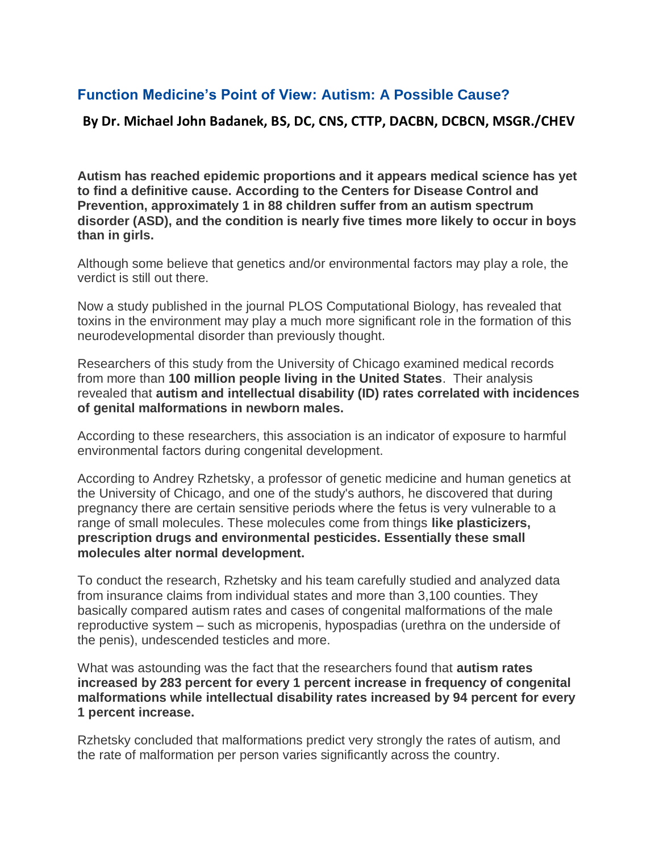## **Function Medicine's Point of View: Autism: A Possible Cause?**

**By Dr. Michael John Badanek, BS, DC, CNS, CTTP, DACBN, DCBCN, MSGR./CHEV**

**Autism has reached epidemic proportions and it appears medical science has yet to find a definitive cause. According to the Centers for Disease Control and Prevention, approximately 1 in 88 children suffer from an autism spectrum disorder (ASD), and the condition is nearly five times more likely to occur in boys than in girls.**

Although some believe that genetics and/or environmental factors may play a role, the verdict is still out there.

Now a study published in the journal PLOS Computational Biology, has revealed that toxins in the environment may play a much more significant role in the formation of this neurodevelopmental disorder than previously thought.

Researchers of this study from the University of Chicago examined medical records from more than **100 million people living in the United States**. Their analysis revealed that **autism and intellectual disability (ID) rates correlated with incidences of genital malformations in newborn males.**

According to these researchers, this association is an indicator of exposure to harmful environmental factors during congenital development.

According to Andrey Rzhetsky, a professor of genetic medicine and human genetics at the University of Chicago, and one of the study's authors, he discovered that during pregnancy there are certain sensitive periods where the fetus is very vulnerable to a range of small molecules. These molecules come from things **like plasticizers, prescription drugs and environmental pesticides. Essentially these small molecules alter normal development.**

To conduct the research, Rzhetsky and his team carefully studied and analyzed data from insurance claims from individual states and more than 3,100 counties. They basically compared autism rates and cases of congenital malformations of the male reproductive system – such as micropenis, hypospadias (urethra on the underside of the penis), undescended testicles and more.

What was astounding was the fact that the researchers found that **autism rates increased by 283 percent for every 1 percent increase in frequency of congenital malformations while intellectual disability rates increased by 94 percent for every 1 percent increase.**

Rzhetsky concluded that malformations predict very strongly the rates of autism, and the rate of malformation per person varies significantly across the country.